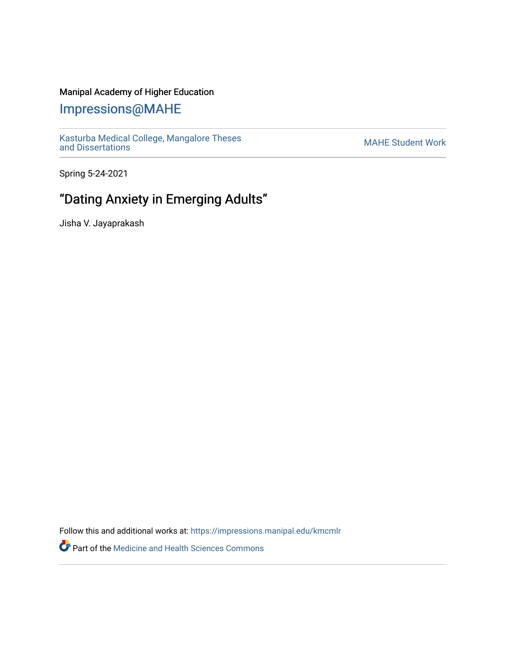### Manipal Academy of Higher Education

## [Impressions@MAHE](https://impressions.manipal.edu/)

[Kasturba Medical College, Mangalore Theses](https://impressions.manipal.edu/kmcmlr) Kasturba Medical College, Mangalore Theses<br>[and Dissertations](https://impressions.manipal.edu/kmcmlr) MAHE Student Work

Spring 5-24-2021

# "Dating Anxiety in Emerging Adults"

Jisha V. Jayaprakash

Follow this and additional works at: [https://impressions.manipal.edu/kmcmlr](https://impressions.manipal.edu/kmcmlr?utm_source=impressions.manipal.edu%2Fkmcmlr%2F180&utm_medium=PDF&utm_campaign=PDFCoverPages) 

Part of the [Medicine and Health Sciences Commons](http://network.bepress.com/hgg/discipline/648?utm_source=impressions.manipal.edu%2Fkmcmlr%2F180&utm_medium=PDF&utm_campaign=PDFCoverPages)